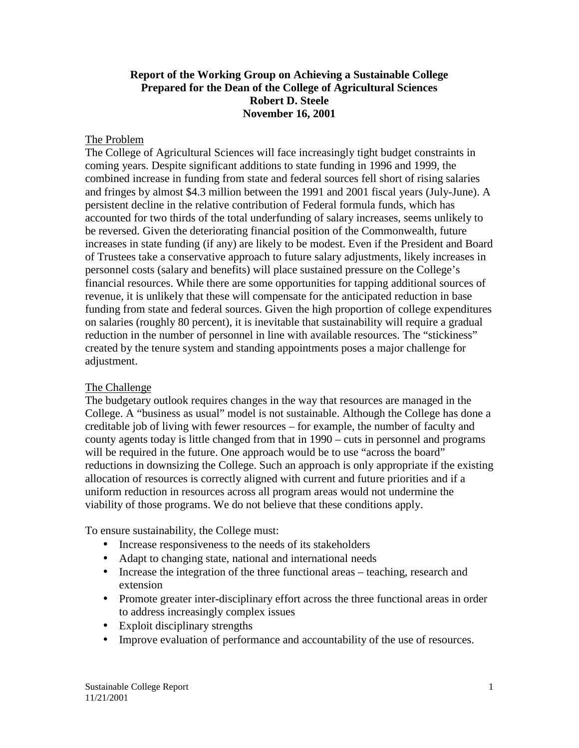#### **Report of the Working Group on Achieving a Sustainable College Prepared for the Dean of the College of Agricultural Sciences Robert D. Steele November 16, 2001**

#### The Problem

The College of Agricultural Sciences will face increasingly tight budget constraints in coming years. Despite significant additions to state funding in 1996 and 1999, the combined increase in funding from state and federal sources fell short of rising salaries and fringes by almost \$4.3 million between the 1991 and 2001 fiscal years (July-June). A persistent decline in the relative contribution of Federal formula funds, which has accounted for two thirds of the total underfunding of salary increases, seems unlikely to be reversed. Given the deteriorating financial position of the Commonwealth, future increases in state funding (if any) are likely to be modest. Even if the President and Board of Trustees take a conservative approach to future salary adjustments, likely increases in personnel costs (salary and benefits) will place sustained pressure on the College's financial resources. While there are some opportunities for tapping additional sources of revenue, it is unlikely that these will compensate for the anticipated reduction in base funding from state and federal sources. Given the high proportion of college expenditures on salaries (roughly 80 percent), it is inevitable that sustainability will require a gradual reduction in the number of personnel in line with available resources. The "stickiness" created by the tenure system and standing appointments poses a major challenge for adjustment.

#### The Challenge

The budgetary outlook requires changes in the way that resources are managed in the College. A "business as usual" model is not sustainable. Although the College has done a creditable job of living with fewer resources – for example, the number of faculty and county agents today is little changed from that in 1990 – cuts in personnel and programs will be required in the future. One approach would be to use "across the board" reductions in downsizing the College. Such an approach is only appropriate if the existing allocation of resources is correctly aligned with current and future priorities and if a uniform reduction in resources across all program areas would not undermine the viability of those programs. We do not believe that these conditions apply.

To ensure sustainability, the College must:

- Increase responsiveness to the needs of its stakeholders
- Adapt to changing state, national and international needs
- Increase the integration of the three functional areas teaching, research and extension
- Promote greater inter-disciplinary effort across the three functional areas in order to address increasingly complex issues
- Exploit disciplinary strengths
- Improve evaluation of performance and accountability of the use of resources.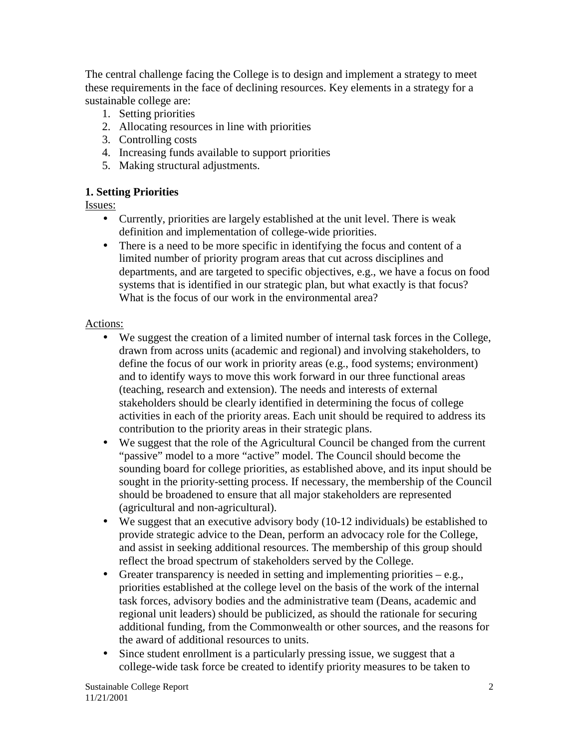The central challenge facing the College is to design and implement a strategy to meet these requirements in the face of declining resources. Key elements in a strategy for a sustainable college are:

- 1. Setting priorities
- 2. Allocating resources in line with priorities
- 3. Controlling costs
- 4. Increasing funds available to support priorities
- 5. Making structural adjustments.

### **1. Setting Priorities**

Issues:

- Currently, priorities are largely established at the unit level. There is weak definition and implementation of college-wide priorities.
- There is a need to be more specific in identifying the focus and content of a limited number of priority program areas that cut across disciplines and departments, and are targeted to specific objectives, e.g., we have a focus on food systems that is identified in our strategic plan, but what exactly is that focus? What is the focus of our work in the environmental area?

#### Actions:

- We suggest the creation of a limited number of internal task forces in the College, drawn from across units (academic and regional) and involving stakeholders, to define the focus of our work in priority areas (e.g., food systems; environment) and to identify ways to move this work forward in our three functional areas (teaching, research and extension). The needs and interests of external stakeholders should be clearly identified in determining the focus of college activities in each of the priority areas. Each unit should be required to address its contribution to the priority areas in their strategic plans.
- We suggest that the role of the Agricultural Council be changed from the current "passive" model to a more "active" model. The Council should become the sounding board for college priorities, as established above, and its input should be sought in the priority-setting process. If necessary, the membership of the Council should be broadened to ensure that all major stakeholders are represented (agricultural and non-agricultural).
- We suggest that an executive advisory body (10-12 individuals) be established to provide strategic advice to the Dean, perform an advocacy role for the College, and assist in seeking additional resources. The membership of this group should reflect the broad spectrum of stakeholders served by the College.
- Greater transparency is needed in setting and implementing priorities  $-e.g.,$ priorities established at the college level on the basis of the work of the internal task forces, advisory bodies and the administrative team (Deans, academic and regional unit leaders) should be publicized, as should the rationale for securing additional funding, from the Commonwealth or other sources, and the reasons for the award of additional resources to units.
- Since student enrollment is a particularly pressing issue, we suggest that a college-wide task force be created to identify priority measures to be taken to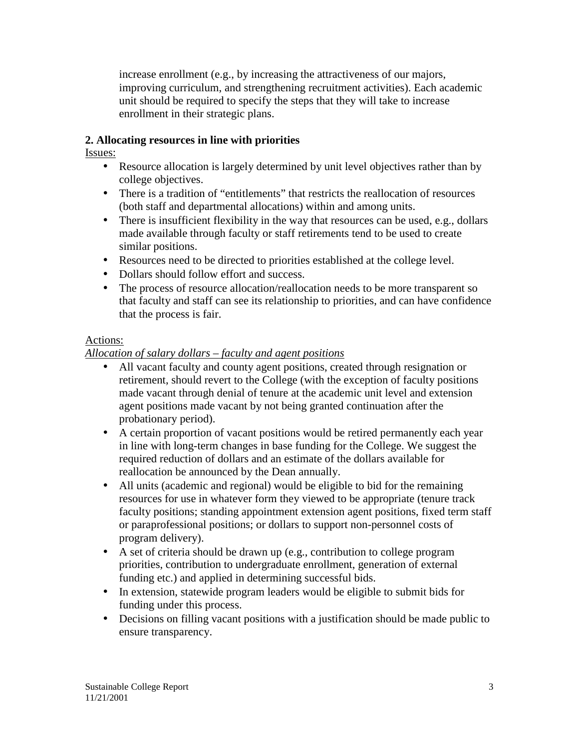increase enrollment (e.g., by increasing the attractiveness of our majors, improving curriculum, and strengthening recruitment activities). Each academic unit should be required to specify the steps that they will take to increase enrollment in their strategic plans.

### **2. Allocating resources in line with priorities**

Issues:

- Resource allocation is largely determined by unit level objectives rather than by college objectives.
- There is a tradition of "entitlements" that restricts the reallocation of resources (both staff and departmental allocations) within and among units.
- There is insufficient flexibility in the way that resources can be used, e.g., dollars made available through faculty or staff retirements tend to be used to create similar positions.
- Resources need to be directed to priorities established at the college level.
- Dollars should follow effort and success.
- The process of resource allocation/reallocation needs to be more transparent so that faculty and staff can see its relationship to priorities, and can have confidence that the process is fair.

#### Actions:

### *Allocation of salary dollars – faculty and agent positions*

- All vacant faculty and county agent positions, created through resignation or retirement, should revert to the College (with the exception of faculty positions made vacant through denial of tenure at the academic unit level and extension agent positions made vacant by not being granted continuation after the probationary period).
- A certain proportion of vacant positions would be retired permanently each year in line with long-term changes in base funding for the College. We suggest the required reduction of dollars and an estimate of the dollars available for reallocation be announced by the Dean annually.
- All units (academic and regional) would be eligible to bid for the remaining resources for use in whatever form they viewed to be appropriate (tenure track faculty positions; standing appointment extension agent positions, fixed term staff or paraprofessional positions; or dollars to support non-personnel costs of program delivery).
- A set of criteria should be drawn up (e.g., contribution to college program priorities, contribution to undergraduate enrollment, generation of external funding etc.) and applied in determining successful bids.
- In extension, statewide program leaders would be eligible to submit bids for funding under this process.
- Decisions on filling vacant positions with a justification should be made public to ensure transparency.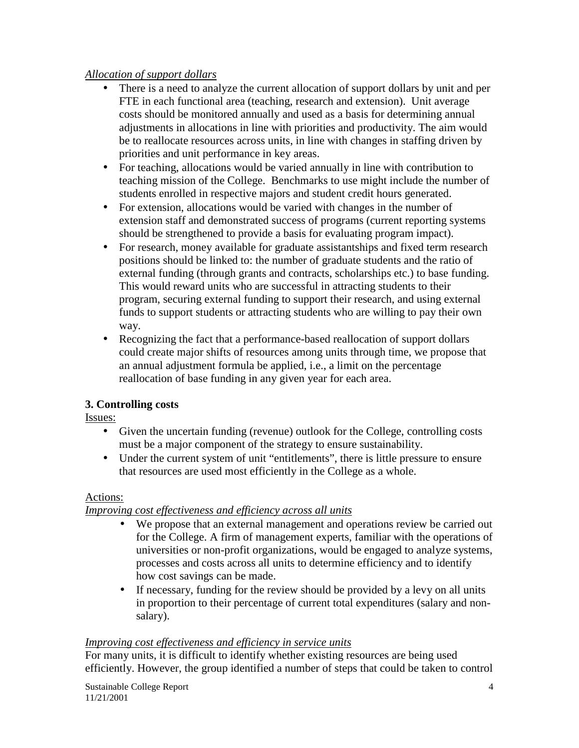### *Allocation of support dollars*

- There is a need to analyze the current allocation of support dollars by unit and per FTE in each functional area (teaching, research and extension). Unit average costs should be monitored annually and used as a basis for determining annual adjustments in allocations in line with priorities and productivity. The aim would be to reallocate resources across units, in line with changes in staffing driven by priorities and unit performance in key areas.
- For teaching, allocations would be varied annually in line with contribution to teaching mission of the College. Benchmarks to use might include the number of students enrolled in respective majors and student credit hours generated.
- For extension, allocations would be varied with changes in the number of extension staff and demonstrated success of programs (current reporting systems should be strengthened to provide a basis for evaluating program impact).
- For research, money available for graduate assistantships and fixed term research positions should be linked to: the number of graduate students and the ratio of external funding (through grants and contracts, scholarships etc.) to base funding. This would reward units who are successful in attracting students to their program, securing external funding to support their research, and using external funds to support students or attracting students who are willing to pay their own way.
- Recognizing the fact that a performance-based reallocation of support dollars could create major shifts of resources among units through time, we propose that an annual adjustment formula be applied, i.e., a limit on the percentage reallocation of base funding in any given year for each area.

# **3. Controlling costs**

Issues:

- Given the uncertain funding (revenue) outlook for the College, controlling costs must be a major component of the strategy to ensure sustainability.
- Under the current system of unit "entitlements", there is little pressure to ensure that resources are used most efficiently in the College as a whole.

# Actions:

# *Improving cost effectiveness and efficiency across all units*

- We propose that an external management and operations review be carried out for the College. A firm of management experts, familiar with the operations of universities or non-profit organizations, would be engaged to analyze systems, processes and costs across all units to determine efficiency and to identify how cost savings can be made.
- If necessary, funding for the review should be provided by a levy on all units in proportion to their percentage of current total expenditures (salary and nonsalary).

# *Improving cost effectiveness and efficiency in service units*

For many units, it is difficult to identify whether existing resources are being used efficiently. However, the group identified a number of steps that could be taken to control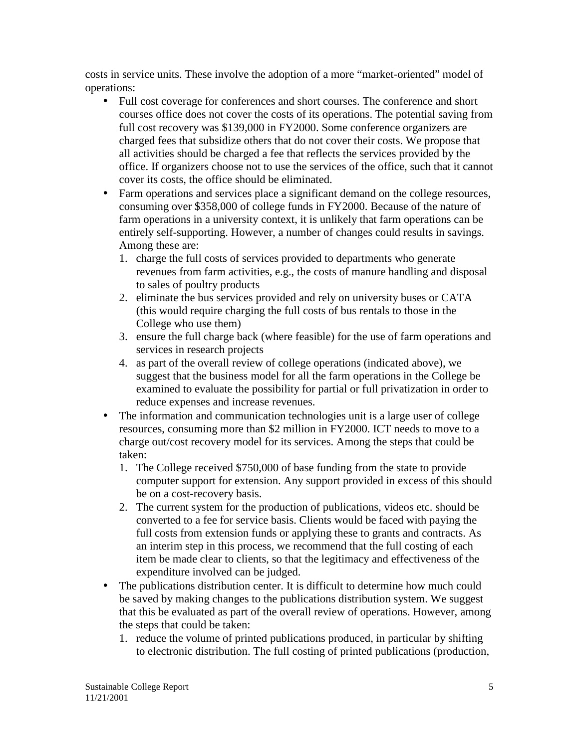costs in service units. These involve the adoption of a more "market-oriented" model of operations:

- Full cost coverage for conferences and short courses. The conference and short courses office does not cover the costs of its operations. The potential saving from full cost recovery was \$139,000 in FY2000. Some conference organizers are charged fees that subsidize others that do not cover their costs. We propose that all activities should be charged a fee that reflects the services provided by the office. If organizers choose not to use the services of the office, such that it cannot cover its costs, the office should be eliminated.
- Farm operations and services place a significant demand on the college resources, consuming over \$358,000 of college funds in FY2000. Because of the nature of farm operations in a university context, it is unlikely that farm operations can be entirely self-supporting. However, a number of changes could results in savings. Among these are:
	- 1. charge the full costs of services provided to departments who generate revenues from farm activities, e.g., the costs of manure handling and disposal to sales of poultry products
	- 2. eliminate the bus services provided and rely on university buses or CATA (this would require charging the full costs of bus rentals to those in the College who use them)
	- 3. ensure the full charge back (where feasible) for the use of farm operations and services in research projects
	- 4. as part of the overall review of college operations (indicated above), we suggest that the business model for all the farm operations in the College be examined to evaluate the possibility for partial or full privatization in order to reduce expenses and increase revenues.
- The information and communication technologies unit is a large user of college resources, consuming more than \$2 million in FY2000. ICT needs to move to a charge out/cost recovery model for its services. Among the steps that could be taken:
	- 1. The College received \$750,000 of base funding from the state to provide computer support for extension. Any support provided in excess of this should be on a cost-recovery basis.
	- 2. The current system for the production of publications, videos etc. should be converted to a fee for service basis. Clients would be faced with paying the full costs from extension funds or applying these to grants and contracts. As an interim step in this process, we recommend that the full costing of each item be made clear to clients, so that the legitimacy and effectiveness of the expenditure involved can be judged.
- The publications distribution center. It is difficult to determine how much could be saved by making changes to the publications distribution system. We suggest that this be evaluated as part of the overall review of operations. However, among the steps that could be taken:
	- 1. reduce the volume of printed publications produced, in particular by shifting to electronic distribution. The full costing of printed publications (production,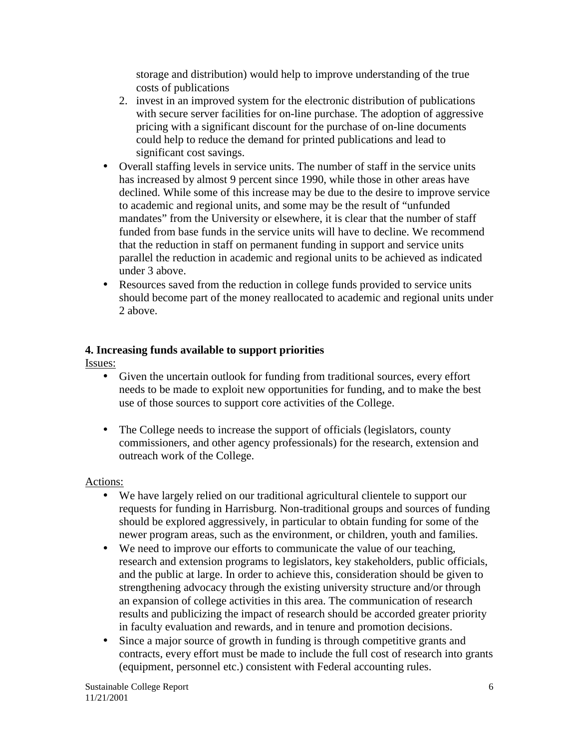storage and distribution) would help to improve understanding of the true costs of publications

- 2. invest in an improved system for the electronic distribution of publications with secure server facilities for on-line purchase. The adoption of aggressive pricing with a significant discount for the purchase of on-line documents could help to reduce the demand for printed publications and lead to significant cost savings.
- Overall staffing levels in service units. The number of staff in the service units has increased by almost 9 percent since 1990, while those in other areas have declined. While some of this increase may be due to the desire to improve service to academic and regional units, and some may be the result of "unfunded mandates" from the University or elsewhere, it is clear that the number of staff funded from base funds in the service units will have to decline. We recommend that the reduction in staff on permanent funding in support and service units parallel the reduction in academic and regional units to be achieved as indicated under 3 above.
- Resources saved from the reduction in college funds provided to service units should become part of the money reallocated to academic and regional units under 2 above.

# **4. Increasing funds available to support priorities**

Issues:

- Given the uncertain outlook for funding from traditional sources, every effort needs to be made to exploit new opportunities for funding, and to make the best use of those sources to support core activities of the College.
- The College needs to increase the support of officials (legislators, county commissioners, and other agency professionals) for the research, extension and outreach work of the College.

#### Actions:

- We have largely relied on our traditional agricultural clientele to support our requests for funding in Harrisburg. Non-traditional groups and sources of funding should be explored aggressively, in particular to obtain funding for some of the newer program areas, such as the environment, or children, youth and families.
- We need to improve our efforts to communicate the value of our teaching, research and extension programs to legislators, key stakeholders, public officials, and the public at large. In order to achieve this, consideration should be given to strengthening advocacy through the existing university structure and/or through an expansion of college activities in this area. The communication of research results and publicizing the impact of research should be accorded greater priority in faculty evaluation and rewards, and in tenure and promotion decisions.
- Since a major source of growth in funding is through competitive grants and contracts, every effort must be made to include the full cost of research into grants (equipment, personnel etc.) consistent with Federal accounting rules.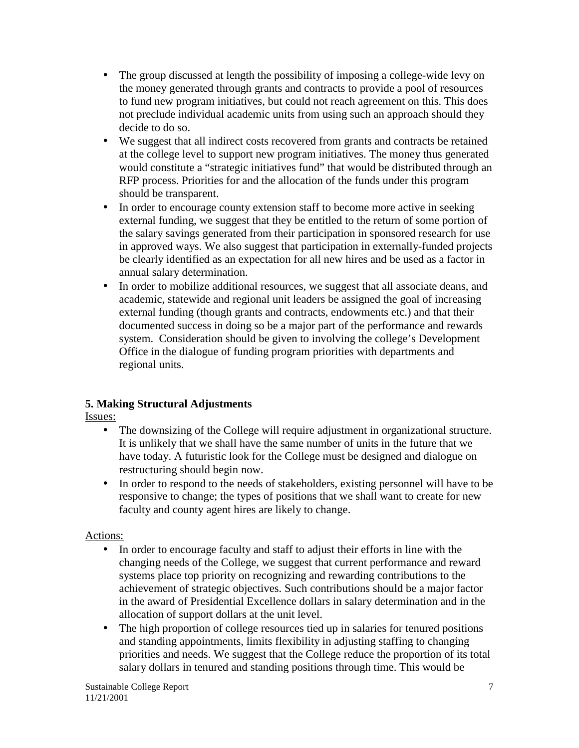- The group discussed at length the possibility of imposing a college-wide levy on the money generated through grants and contracts to provide a pool of resources to fund new program initiatives, but could not reach agreement on this. This does not preclude individual academic units from using such an approach should they decide to do so.
- We suggest that all indirect costs recovered from grants and contracts be retained at the college level to support new program initiatives. The money thus generated would constitute a "strategic initiatives fund" that would be distributed through an RFP process. Priorities for and the allocation of the funds under this program should be transparent.
- In order to encourage county extension staff to become more active in seeking external funding, we suggest that they be entitled to the return of some portion of the salary savings generated from their participation in sponsored research for use in approved ways. We also suggest that participation in externally-funded projects be clearly identified as an expectation for all new hires and be used as a factor in annual salary determination.
- In order to mobilize additional resources, we suggest that all associate deans, and academic, statewide and regional unit leaders be assigned the goal of increasing external funding (though grants and contracts, endowments etc.) and that their documented success in doing so be a major part of the performance and rewards system. Consideration should be given to involving the college's Development Office in the dialogue of funding program priorities with departments and regional units.

# **5. Making Structural Adjustments**

Issues:

- The downsizing of the College will require adjustment in organizational structure. It is unlikely that we shall have the same number of units in the future that we have today. A futuristic look for the College must be designed and dialogue on restructuring should begin now.
- In order to respond to the needs of stakeholders, existing personnel will have to be responsive to change; the types of positions that we shall want to create for new faculty and county agent hires are likely to change.

# Actions:

- In order to encourage faculty and staff to adjust their efforts in line with the changing needs of the College, we suggest that current performance and reward systems place top priority on recognizing and rewarding contributions to the achievement of strategic objectives. Such contributions should be a major factor in the award of Presidential Excellence dollars in salary determination and in the allocation of support dollars at the unit level.
- The high proportion of college resources tied up in salaries for tenured positions and standing appointments, limits flexibility in adjusting staffing to changing priorities and needs. We suggest that the College reduce the proportion of its total salary dollars in tenured and standing positions through time. This would be